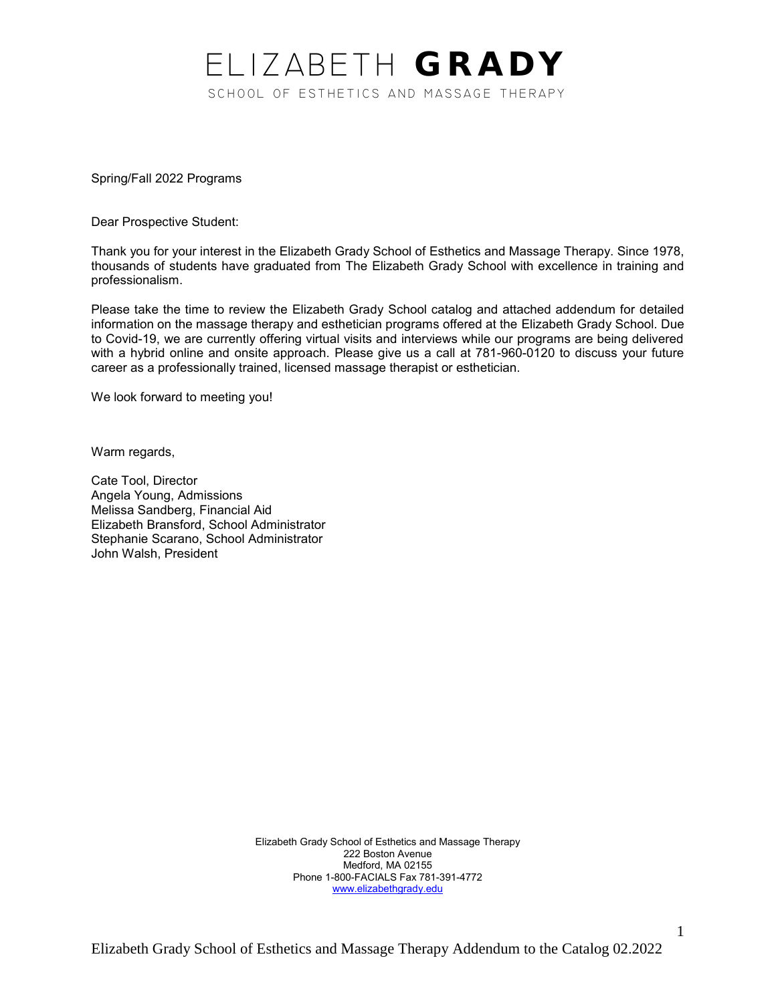# ELIZABETH GRADY SCHOOL OF ESTHETICS AND MASSAGE THERAPY

Spring/Fall 2022 Programs

Dear Prospective Student:

Thank you for your interest in the Elizabeth Grady School of Esthetics and Massage Therapy. Since 1978, thousands of students have graduated from The Elizabeth Grady School with excellence in training and professionalism.

Please take the time to review the Elizabeth Grady School catalog and attached addendum for detailed information on the massage therapy and esthetician programs offered at the Elizabeth Grady School. Due to Covid-19, we are currently offering virtual visits and interviews while our programs are being delivered with a hybrid online and onsite approach. Please give us a call at 781-960-0120 to discuss your future career as a professionally trained, licensed massage therapist or esthetician.

We look forward to meeting you!

Warm regards,

Cate Tool, Director Angela Young, Admissions Melissa Sandberg, Financial Aid Elizabeth Bransford, School Administrator Stephanie Scarano, School Administrator John Walsh, President

> Elizabeth Grady School of Esthetics and Massage Therapy 222 Boston Avenue Medford, MA 02155 Phone 1-800-FACIALS Fax 781-391-4772 [www.elizabethgrady.edu](http://www.elizabethgrady.edu/)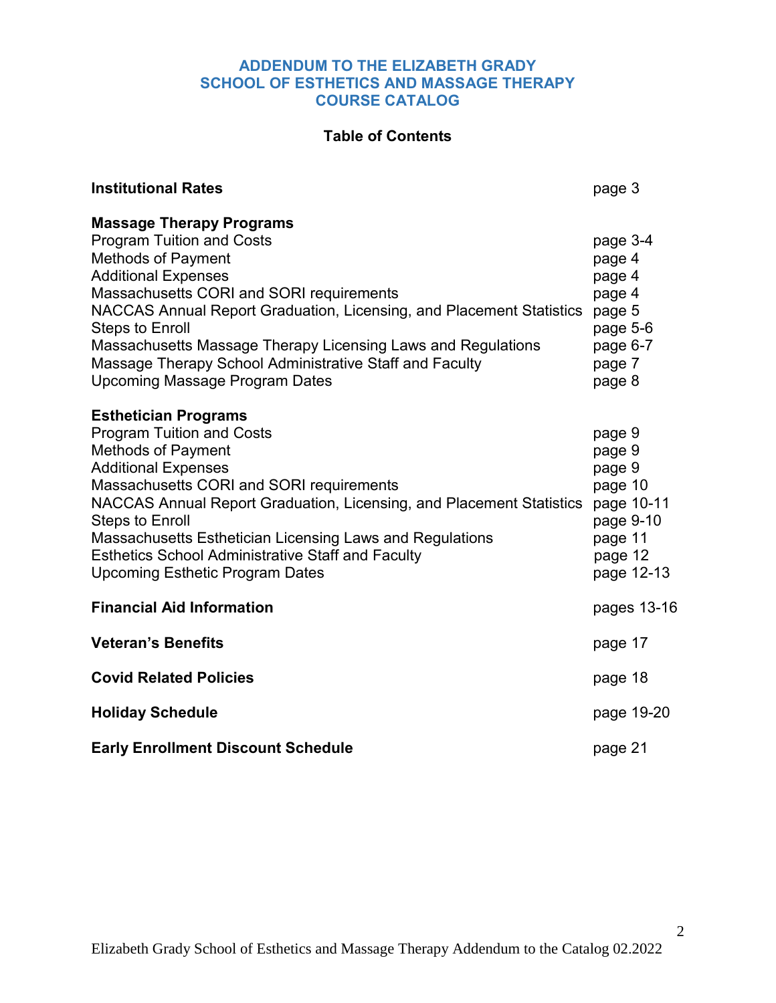### **ADDENDUM TO THE ELIZABETH GRADY SCHOOL OF ESTHETICS AND MASSAGE THERAPY COURSE CATALOG**

### **Table of Contents**

| <b>Institutional Rates</b>                                                                                                                                                                                                                                                                                                                                                                                                                 | page 3                                                                                               |
|--------------------------------------------------------------------------------------------------------------------------------------------------------------------------------------------------------------------------------------------------------------------------------------------------------------------------------------------------------------------------------------------------------------------------------------------|------------------------------------------------------------------------------------------------------|
| <b>Massage Therapy Programs</b>                                                                                                                                                                                                                                                                                                                                                                                                            |                                                                                                      |
| <b>Program Tuition and Costs</b><br><b>Methods of Payment</b><br><b>Additional Expenses</b><br>Massachusetts CORI and SORI requirements<br>NACCAS Annual Report Graduation, Licensing, and Placement Statistics<br><b>Steps to Enroll</b><br>Massachusetts Massage Therapy Licensing Laws and Regulations<br>Massage Therapy School Administrative Staff and Faculty<br><b>Upcoming Massage Program Dates</b>                              | page 3-4<br>page 4<br>page 4<br>page 4<br>page 5<br>page 5-6<br>page 6-7<br>page 7<br>page 8         |
| <b>Esthetician Programs</b><br><b>Program Tuition and Costs</b><br><b>Methods of Payment</b><br><b>Additional Expenses</b><br>Massachusetts CORI and SORI requirements<br>NACCAS Annual Report Graduation, Licensing, and Placement Statistics<br><b>Steps to Enroll</b><br>Massachusetts Esthetician Licensing Laws and Regulations<br><b>Esthetics School Administrative Staff and Faculty</b><br><b>Upcoming Esthetic Program Dates</b> | page 9<br>page 9<br>page 9<br>page 10<br>page 10-11<br>page 9-10<br>page 11<br>page 12<br>page 12-13 |
| <b>Financial Aid Information</b>                                                                                                                                                                                                                                                                                                                                                                                                           | pages 13-16                                                                                          |
| <b>Veteran's Benefits</b>                                                                                                                                                                                                                                                                                                                                                                                                                  | page 17                                                                                              |
| <b>Covid Related Policies</b>                                                                                                                                                                                                                                                                                                                                                                                                              | page 18                                                                                              |
| <b>Holiday Schedule</b>                                                                                                                                                                                                                                                                                                                                                                                                                    | page 19-20                                                                                           |
| <b>Early Enrollment Discount Schedule</b>                                                                                                                                                                                                                                                                                                                                                                                                  | page 21                                                                                              |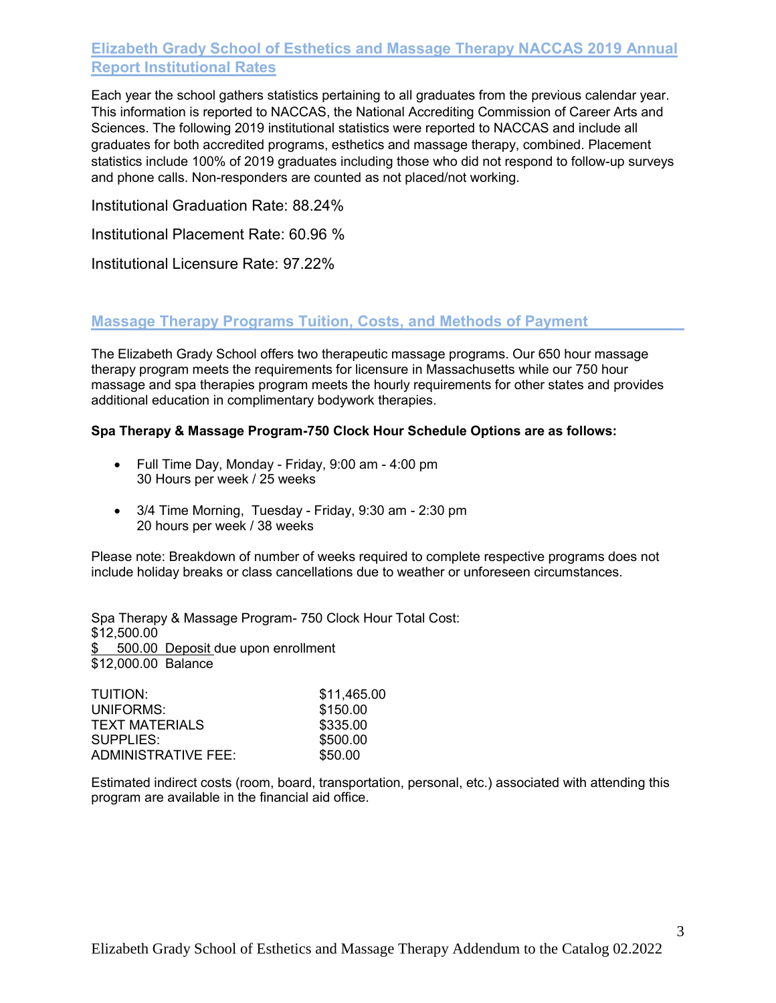# **Elizabeth Grady School of Esthetics and Massage Therapy NACCAS 2019 Annual Report Institutional Rates**

Each year the school gathers statistics pertaining to all graduates from the previous calendar year. This information is reported to NACCAS, the National Accrediting Commission of Career Arts and Sciences. The following 2019 institutional statistics were reported to NACCAS and include all graduates for both accredited programs, esthetics and massage therapy, combined. Placement statistics include 100% of 2019 graduates including those who did not respond to follow-up surveys and phone calls. Non-responders are counted as not placed/not working.

Institutional Graduation Rate: 88.24%

Institutional Placement Rate: 60.96 %

Institutional Licensure Rate: 97.22%

### **Massage Therapy Programs Tuition, Costs, and Methods of Payment**

The Elizabeth Grady School offers two therapeutic massage programs. Our 650 hour massage therapy program meets the requirements for licensure in Massachusetts while our 750 hour massage and spa therapies program meets the hourly requirements for other states and provides additional education in complimentary bodywork therapies.

#### **Spa Therapy & Massage Program-750 Clock Hour Schedule Options are as follows:**

- Full Time Day, Monday Friday, 9:00 am 4:00 pm 30 Hours per week / 25 weeks
- 3/4 Time Morning, Tuesday Friday, 9:30 am 2:30 pm 20 hours per week / 38 weeks

Please note: Breakdown of number of weeks required to complete respective programs does not include holiday breaks or class cancellations due to weather or unforeseen circumstances.

Spa Therapy & Massage Program- 750 Clock Hour Total Cost: \$12,500.00 \$ 500.00 Deposit due upon enrollment \$12,000.00 Balance

| TUITION:              | \$11,465.00 |
|-----------------------|-------------|
| UNIFORMS:             | \$150.00    |
| <b>TEXT MATERIALS</b> | \$335.00    |
| SUPPLIES:             | \$500.00    |
| ADMINISTRATIVE FEE:   | \$50.00     |

Estimated indirect costs (room, board, transportation, personal, etc.) associated with attending this program are available in the financial aid office.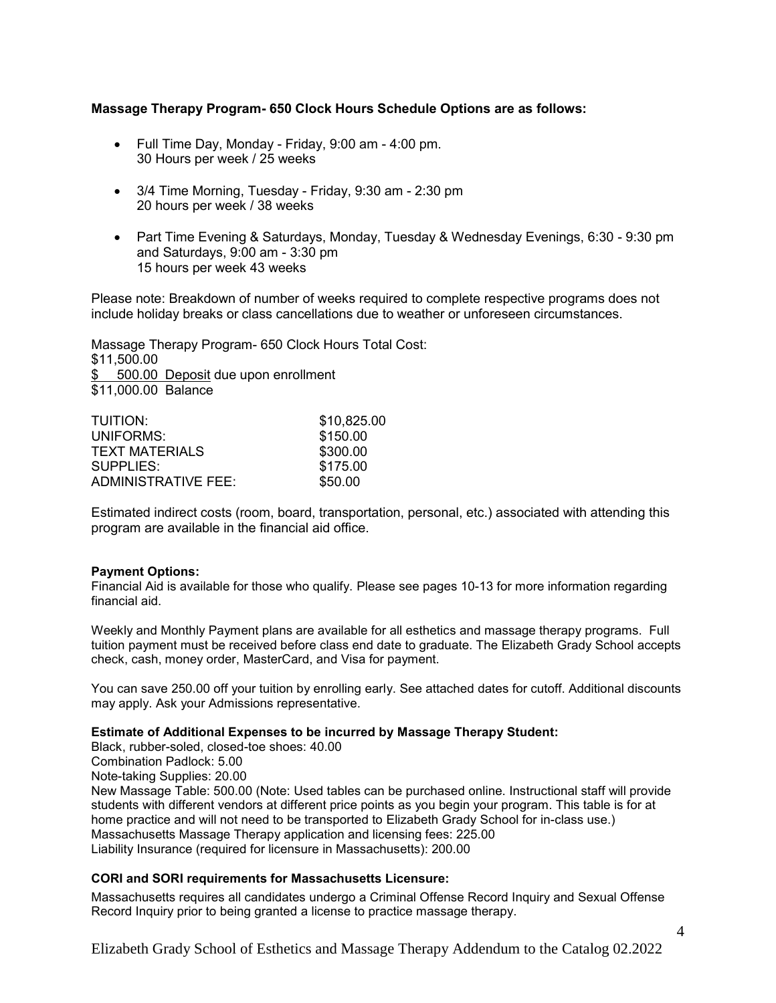#### **Massage Therapy Program- 650 Clock Hours Schedule Options are as follows:**

- Full Time Day, Monday Friday, 9:00 am 4:00 pm. 30 Hours per week / 25 weeks
- 3/4 Time Morning, Tuesday Friday, 9:30 am 2:30 pm 20 hours per week / 38 weeks
- Part Time Evening & Saturdays, Monday, Tuesday & Wednesday Evenings, 6:30 9:30 pm and Saturdays, 9:00 am - 3:30 pm 15 hours per week 43 weeks

Please note: Breakdown of number of weeks required to complete respective programs does not include holiday breaks or class cancellations due to weather or unforeseen circumstances.

Massage Therapy Program- 650 Clock Hours Total Cost: \$11,500.00 \$ 500.00 Deposit due upon enrollment \$11,000.00 Balance

| TUITION:            | \$10,825.00 |
|---------------------|-------------|
| UNIFORMS:           | \$150.00    |
| TEXT MATERIALS      | \$300.00    |
| SUPPLIES:           | \$175.00    |
| ADMINISTRATIVE FEE: | \$50.00     |

Estimated indirect costs (room, board, transportation, personal, etc.) associated with attending this program are available in the financial aid office.

#### **Payment Options:**

Financial Aid is available for those who qualify. Please see pages 10-13 for more information regarding financial aid.

Weekly and Monthly Payment plans are available for all esthetics and massage therapy programs. Full tuition payment must be received before class end date to graduate. The Elizabeth Grady School accepts check, cash, money order, MasterCard, and Visa for payment.

You can save 250.00 off your tuition by enrolling early. See attached dates for cutoff. Additional discounts may apply. Ask your Admissions representative.

#### **Estimate of Additional Expenses to be incurred by Massage Therapy Student:**

Black, rubber-soled, closed-toe shoes: 40.00 Combination Padlock: 5.00 Note-taking Supplies: 20.00 New Massage Table: 500.00 (Note: Used tables can be purchased online. Instructional staff will provide students with different vendors at different price points as you begin your program. This table is for at home practice and will not need to be transported to Elizabeth Grady School for in-class use.) Massachusetts Massage Therapy application and licensing fees: 225.00 Liability Insurance (required for licensure in Massachusetts): 200.00

#### **CORI and SORI requirements for Massachusetts Licensure:**

Massachusetts requires all candidates undergo a Criminal Offense Record Inquiry and Sexual Offense Record Inquiry prior to being granted a license to practice massage therapy.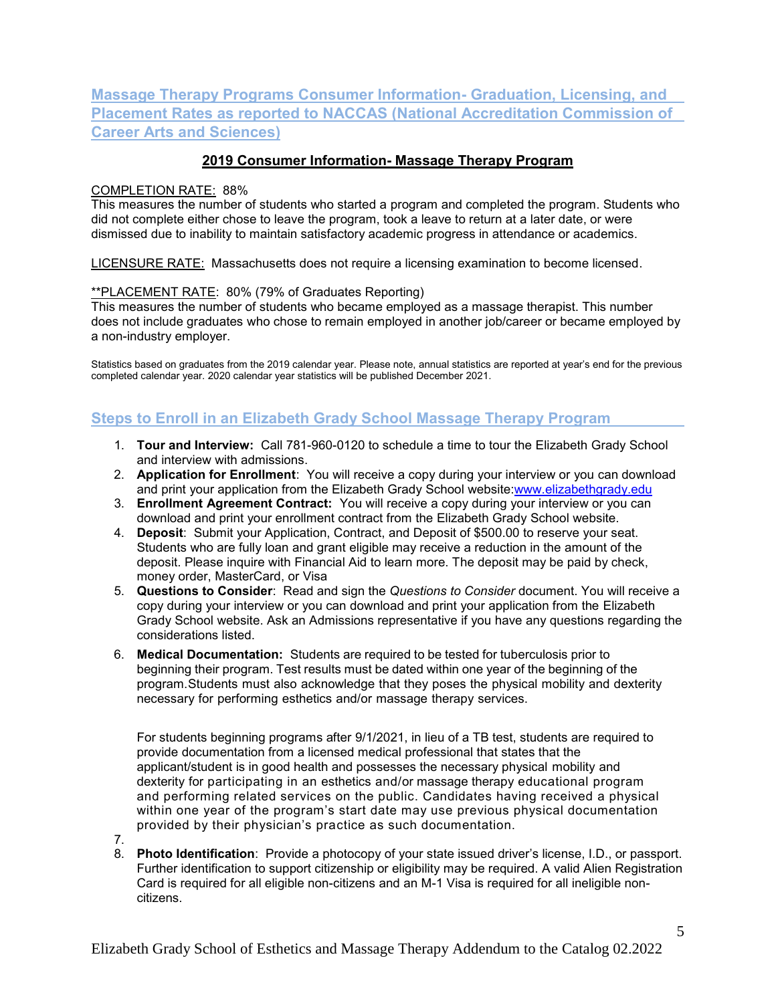# **Massage Therapy Programs Consumer Information- Graduation, Licensing, and Placement Rates as reported to NACCAS (National Accreditation Commission of Career Arts and Sciences)**

### **2019 Consumer Information- Massage Therapy Program**

#### COMPLETION RATE: 88%

This measures the number of students who started a program and completed the program. Students who did not complete either chose to leave the program, took a leave to return at a later date, or were dismissed due to inability to maintain satisfactory academic progress in attendance or academics.

LICENSURE RATE: Massachusetts does not require a licensing examination to become licensed.

#### \*\*PLACEMENT RATE: 80% (79% of Graduates Reporting)

This measures the number of students who became employed as a massage therapist. This number does not include graduates who chose to remain employed in another job/career or became employed by a non-industry employer.

Statistics based on graduates from the 2019 calendar year. Please note, annual statistics are reported at year's end for the previous completed calendar year. 2020 calendar year statistics will be published December 2021.

### **Steps to Enroll in an Elizabeth Grady School Massage Therapy Program**

- 1. **Tour and Interview:** Call 781-960-0120 to schedule a time to tour the Elizabeth Grady School and interview with admissions.
- 2. **Application for Enrollment**: You will receive a copy during your interview or you can download and print your application from the Elizabeth Grady School website[:www.elizabethgrady.edu](http://www.elizabethgrady.edu/)
- 3. **Enrollment Agreement Contract:** You will receive a copy during your interview or you can download and print your enrollment contract from the Elizabeth Grady School website.
- 4. **Deposit**: Submit your Application, Contract, and Deposit of \$500.00 to reserve your seat. Students who are fully loan and grant eligible may receive a reduction in the amount of the deposit. Please inquire with Financial Aid to learn more. The deposit may be paid by check, money order, MasterCard, or Visa
- 5. **Questions to Consider**: Read and sign the *Questions to Consider* document. You will receive a copy during your interview or you can download and print your application from the Elizabeth Grady School website. Ask an Admissions representative if you have any questions regarding the considerations listed.
- 6. **Medical Documentation:** Students are required to be tested for tuberculosis prior to beginning their program. Test results must be dated within one year of the beginning of the program. Students must also acknowledge that they poses the physical mobility and dexterity necessary for performing esthetics and/or massage therapy services.

For students beginning programs after 9/1/2021, in lieu of a TB test, students are required to provide documentation from a licensed medical professional that states that the applicant/student is in good health and possesses the necessary physical mobility and dexterity for participating in an esthetics and/or massage therapy educational program and performing related services on the public. Candidates having received a physical within one year of the program's start date may use previous physical documentation provided by their physician's practice as such documentation.

- 7.
- 8. **Photo Identification**: Provide a photocopy of your state issued driver's license, I.D., or passport. Further identification to support citizenship or eligibility may be required. A valid Alien Registration Card is required for all eligible non-citizens and an M-1 Visa is required for all ineligible noncitizens.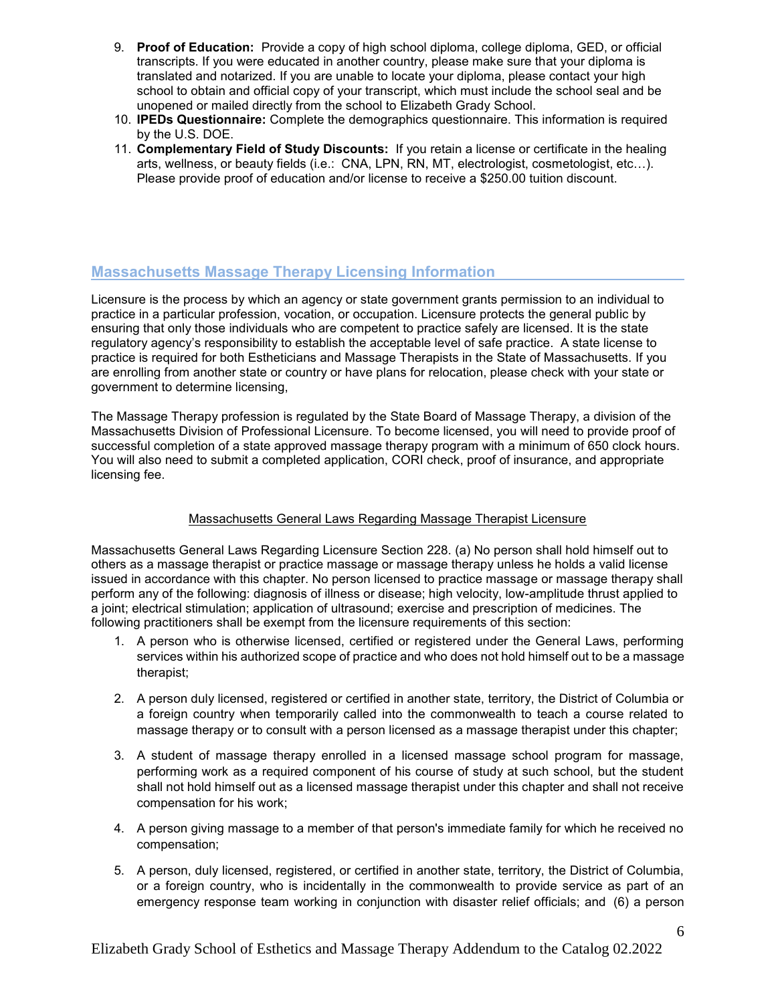- 9. **Proof of Education:** Provide a copy of high school diploma, college diploma, GED, or official transcripts. If you were educated in another country, please make sure that your diploma is translated and notarized. If you are unable to locate your diploma, please contact your high school to obtain and official copy of your transcript, which must include the school seal and be unopened or mailed directly from the school to Elizabeth Grady School.
- 10. **IPEDs Questionnaire:** Complete the demographics questionnaire. This information is required by the U.S. DOE.
- 11. **Complementary Field of Study Discounts:** If you retain a license or certificate in the healing arts, wellness, or beauty fields (i.e.: CNA, LPN, RN, MT, electrologist, cosmetologist, etc…). Please provide proof of education and/or license to receive a \$250.00 tuition discount.

### **Massachusetts Massage Therapy Licensing Information**

Licensure is the process by which an agency or state government grants permission to an individual to practice in a particular profession, vocation, or occupation. Licensure protects the general public by ensuring that only those individuals who are competent to practice safely are licensed. It is the state regulatory agency's responsibility to establish the acceptable level of safe practice. A state license to practice is required for both Estheticians and Massage Therapists in the State of Massachusetts. If you are enrolling from another state or country or have plans for relocation, please check with your state or government to determine licensing,

The Massage Therapy profession is regulated by the State Board of Massage Therapy, a division of the Massachusetts Division of Professional Licensure. To become licensed, you will need to provide proof of successful completion of a state approved massage therapy program with a minimum of 650 clock hours. You will also need to submit a completed application, CORI check, proof of insurance, and appropriate licensing fee.

#### Massachusetts General Laws Regarding Massage Therapist Licensure

Massachusetts General Laws Regarding Licensure Section 228. (a) No person shall hold himself out to others as a massage therapist or practice massage or massage therapy unless he holds a valid license issued in accordance with this chapter. No person licensed to practice massage or massage therapy shall perform any of the following: diagnosis of illness or disease; high velocity, low-amplitude thrust applied to a joint; electrical stimulation; application of ultrasound; exercise and prescription of medicines. The following practitioners shall be exempt from the licensure requirements of this section:

- 1. A person who is otherwise licensed, certified or registered under the General Laws, performing services within his authorized scope of practice and who does not hold himself out to be a massage therapist;
- 2. A person duly licensed, registered or certified in another state, territory, the District of Columbia or a foreign country when temporarily called into the commonwealth to teach a course related to massage therapy or to consult with a person licensed as a massage therapist under this chapter;
- 3. A student of massage therapy enrolled in a licensed massage school program for massage, performing work as a required component of his course of study at such school, but the student shall not hold himself out as a licensed massage therapist under this chapter and shall not receive compensation for his work;
- 4. A person giving massage to a member of that person's immediate family for which he received no compensation;
- 5. A person, duly licensed, registered, or certified in another state, territory, the District of Columbia, or a foreign country, who is incidentally in the commonwealth to provide service as part of an emergency response team working in conjunction with disaster relief officials; and (6) a person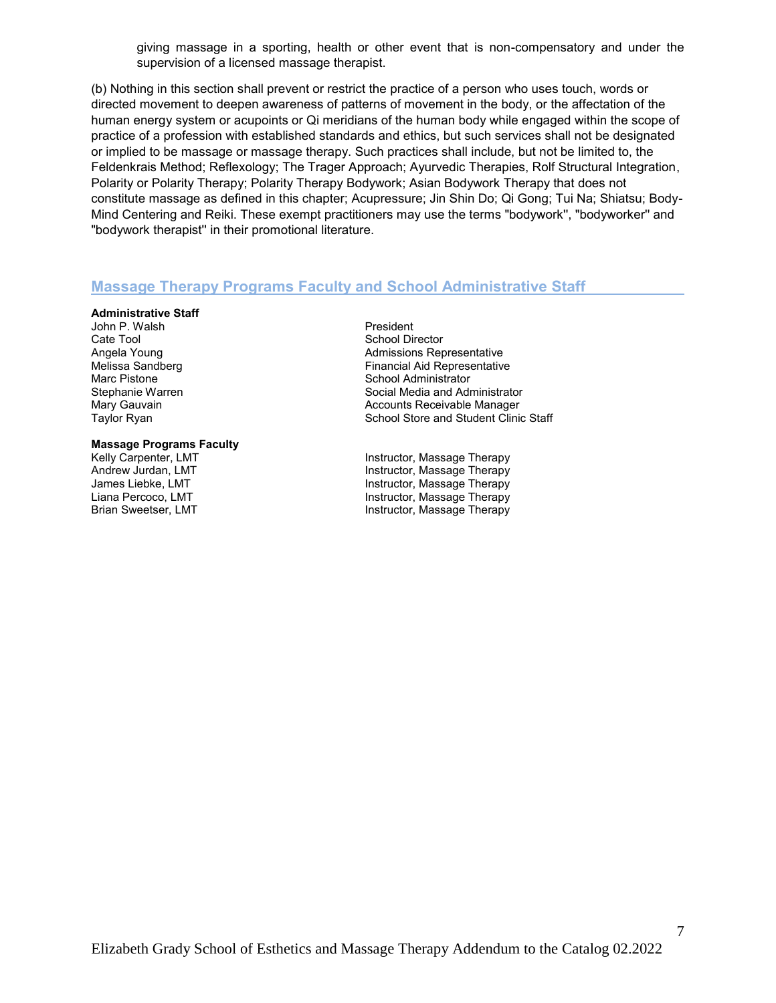giving massage in a sporting, health or other event that is non-compensatory and under the supervision of a licensed massage therapist.

(b) Nothing in this section shall prevent or restrict the practice of a person who uses touch, words or directed movement to deepen awareness of patterns of movement in the body, or the affectation of the human energy system or acupoints or Qi meridians of the human body while engaged within the scope of practice of a profession with established standards and ethics, but such services shall not be designated or implied to be massage or massage therapy. Such practices shall include, but not be limited to, the Feldenkrais Method; Reflexology; The Trager Approach; Ayurvedic Therapies, Rolf Structural Integration, Polarity or Polarity Therapy; Polarity Therapy Bodywork; Asian Bodywork Therapy that does not constitute massage as defined in this chapter; Acupressure; Jin Shin Do; Qi Gong; Tui Na; Shiatsu; Body-Mind Centering and Reiki. These exempt practitioners may use the terms "bodywork'', "bodyworker'' and "bodywork therapist'' in their promotional literature.

### **Massage Therapy Programs Faculty and School Administrative Staff**

#### **Administrative Staff**

John P. Walsh **President** Cate Tool **School Director** School Director

# **Massage Programs Faculty**

Angela Young Admissions Representative Melissa Sandberg Financial Aid Representative<br>Marc Pistone Financial Aid Representative<br>School Administrator Marc Pistone **Marc Pistone School Administrator**<br>
School Administrator<br>
Social Media and Adr Social Media and Administrator Mary Gauvain **Accounts Receivable Manager** Mary Gauvain Taylor Ryan North Staff School Store and Student Clinic Staff

Instructor, Massage Therapy Andrew Jurdan, LMT **Instructor, Massage Therapy** James Liebke, LMT Instructor, Massage Therapy Liana Percoco, LMT **Instructor, Massage Therapy**<br>Brian Sweetser, LMT **Instructor, Massage Therapy** Instructor, Massage Therapy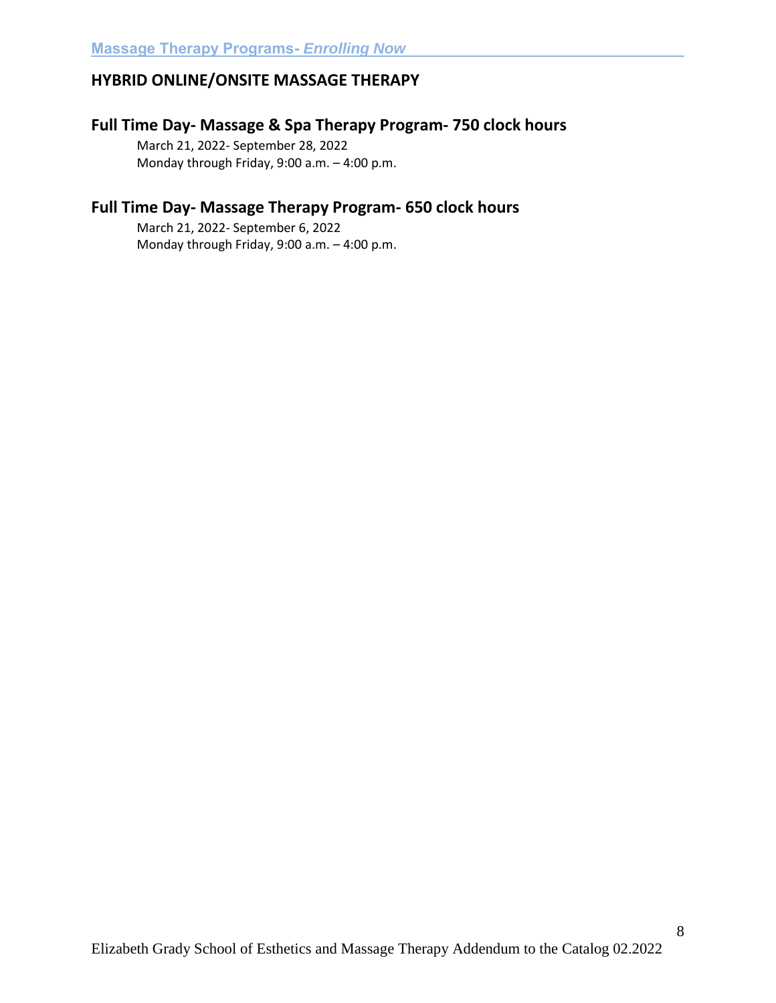# **HYBRID ONLINE/ONSITE MASSAGE THERAPY**

### **Full Time Day- Massage & Spa Therapy Program- 750 clock hours**

March 21, 2022- September 28, 2022 Monday through Friday, 9:00 a.m. – 4:00 p.m.

# **Full Time Day- Massage Therapy Program- 650 clock hours**

March 21, 2022- September 6, 2022 Monday through Friday, 9:00 a.m. – 4:00 p.m.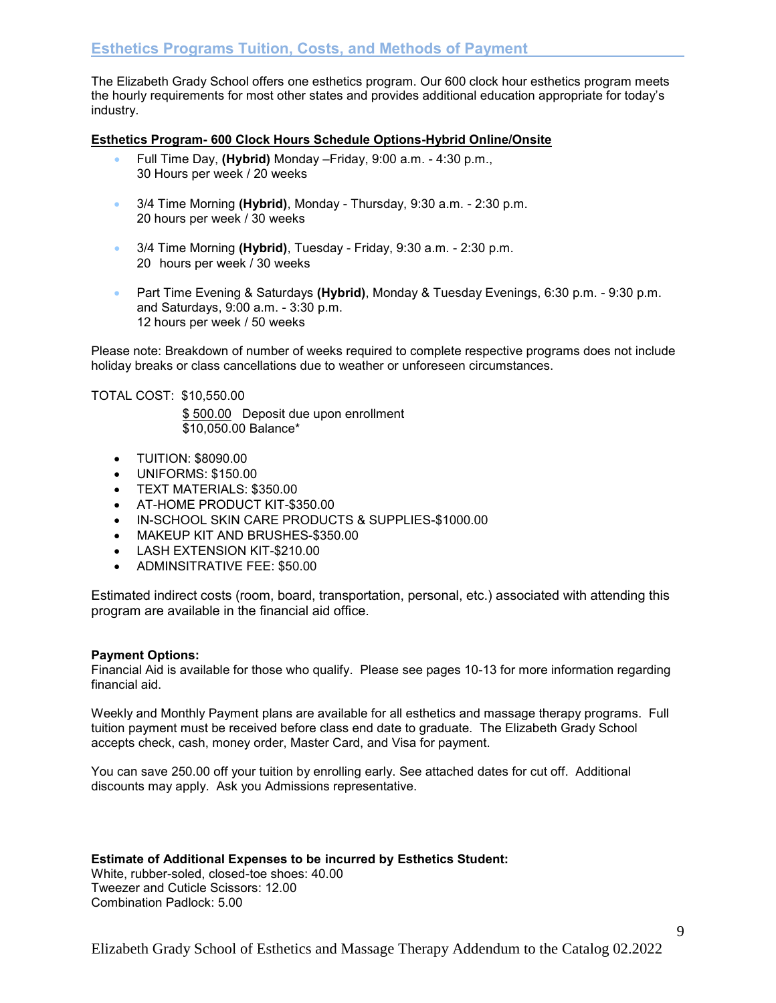The Elizabeth Grady School offers one esthetics program. Our 600 clock hour esthetics program meets the hourly requirements for most other states and provides additional education appropriate for today's industry.

#### **Esthetics Program- 600 Clock Hours Schedule Options-Hybrid Online/Onsite**

- Full Time Day, **(Hybrid)** Monday –Friday, 9:00 a.m. 4:30 p.m., 30 Hours per week / 20 weeks
- 3/4 Time Morning **(Hybrid)**, Monday Thursday, 9:30 a.m. 2:30 p.m. 20 hours per week / 30 weeks
- 3/4 Time Morning **(Hybrid)**, Tuesday Friday, 9:30 a.m. 2:30 p.m. 20 hours per week / 30 weeks
- Part Time Evening & Saturdays **(Hybrid)**, Monday & Tuesday Evenings, 6:30 p.m. 9:30 p.m. and Saturdays, 9:00 a.m. - 3:30 p.m. 12 hours per week / 50 weeks

Please note: Breakdown of number of weeks required to complete respective programs does not include holiday breaks or class cancellations due to weather or unforeseen circumstances.

#### TOTAL COST: \$10,550.00

 \$ 500.00 Deposit due upon enrollment \$10,050.00 Balance\*

- TUITION: \$8090.00
- UNIFORMS: \$150.00
- **TEXT MATERIALS: \$350.00**
- AT-HOME PRODUCT KIT-\$350.00
- IN-SCHOOL SKIN CARE PRODUCTS & SUPPLIES-\$1000.00
- MAKEUP KIT AND BRUSHES-\$350.00
- **LASH EXTENSION KIT-\$210.00**
- ADMINSITRATIVE FEE: \$50.00

Estimated indirect costs (room, board, transportation, personal, etc.) associated with attending this program are available in the financial aid office.

#### **Payment Options:**

Financial Aid is available for those who qualify. Please see pages 10-13 for more information regarding financial aid.

Weekly and Monthly Payment plans are available for all esthetics and massage therapy programs. Full tuition payment must be received before class end date to graduate. The Elizabeth Grady School accepts check, cash, money order, Master Card, and Visa for payment.

You can save 250.00 off your tuition by enrolling early. See attached dates for cut off. Additional discounts may apply. Ask you Admissions representative.

#### **Estimate of Additional Expenses to be incurred by Esthetics Student:**

White, rubber-soled, closed-toe shoes: 40.00 Tweezer and Cuticle Scissors: 12.00 Combination Padlock: 5.00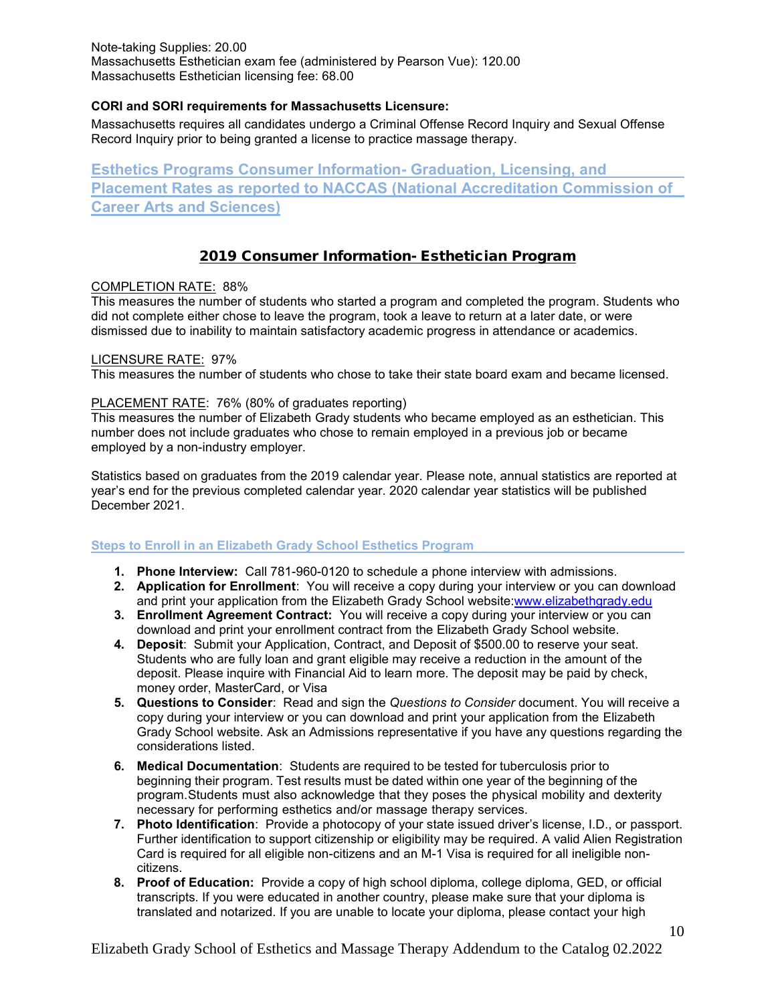Note-taking Supplies: 20.00 Massachusetts Esthetician exam fee (administered by Pearson Vue): 120.00 Massachusetts Esthetician licensing fee: 68.00

#### **CORI and SORI requirements for Massachusetts Licensure:**

Massachusetts requires all candidates undergo a Criminal Offense Record Inquiry and Sexual Offense Record Inquiry prior to being granted a license to practice massage therapy.

**Esthetics Programs Consumer Information- Graduation, Licensing, and Placement Rates as reported to NACCAS (National Accreditation Commission of Career Arts and Sciences)** 

### 2019 Consumer Information- Esthetician Program

#### COMPLETION RATE: 88%

This measures the number of students who started a program and completed the program. Students who did not complete either chose to leave the program, took a leave to return at a later date, or were dismissed due to inability to maintain satisfactory academic progress in attendance or academics.

#### LICENSURE RATE: 97%

This measures the number of students who chose to take their state board exam and became licensed.

#### PLACEMENT RATE: 76% (80% of graduates reporting)

This measures the number of Elizabeth Grady students who became employed as an esthetician. This number does not include graduates who chose to remain employed in a previous job or became employed by a non-industry employer.

Statistics based on graduates from the 2019 calendar year. Please note, annual statistics are reported at year's end for the previous completed calendar year. 2020 calendar year statistics will be published December 2021.

#### **Steps to Enroll in an Elizabeth Grady School Esthetics Program**

- **1. Phone Interview:** Call 781-960-0120 to schedule a phone interview with admissions.
- **2. Application for Enrollment**: You will receive a copy during your interview or you can download and print your application from the Elizabeth Grady School website[:www.elizabethgrady.edu](http://www.elizabethgrady.edu/)
- **3. Enrollment Agreement Contract:** You will receive a copy during your interview or you can download and print your enrollment contract from the Elizabeth Grady School website.
- **4. Deposit**: Submit your Application, Contract, and Deposit of \$500.00 to reserve your seat. Students who are fully loan and grant eligible may receive a reduction in the amount of the deposit. Please inquire with Financial Aid to learn more. The deposit may be paid by check, money order, MasterCard, or Visa
- **5. Questions to Consider**: Read and sign the *Questions to Consider* document. You will receive a copy during your interview or you can download and print your application from the Elizabeth Grady School website. Ask an Admissions representative if you have any questions regarding the considerations listed.
- **6. Medical Documentation**: Students are required to be tested for tuberculosis prior to beginning their program. Test results must be dated within one year of the beginning of the program. Students must also acknowledge that they poses the physical mobility and dexterity necessary for performing esthetics and/or massage therapy services.
- **7. Photo Identification**: Provide a photocopy of your state issued driver's license, I.D., or passport. Further identification to support citizenship or eligibility may be required. A valid Alien Registration Card is required for all eligible non-citizens and an M-1 Visa is required for all ineligible noncitizens.
- **8. Proof of Education:** Provide a copy of high school diploma, college diploma, GED, or official transcripts. If you were educated in another country, please make sure that your diploma is translated and notarized. If you are unable to locate your diploma, please contact your high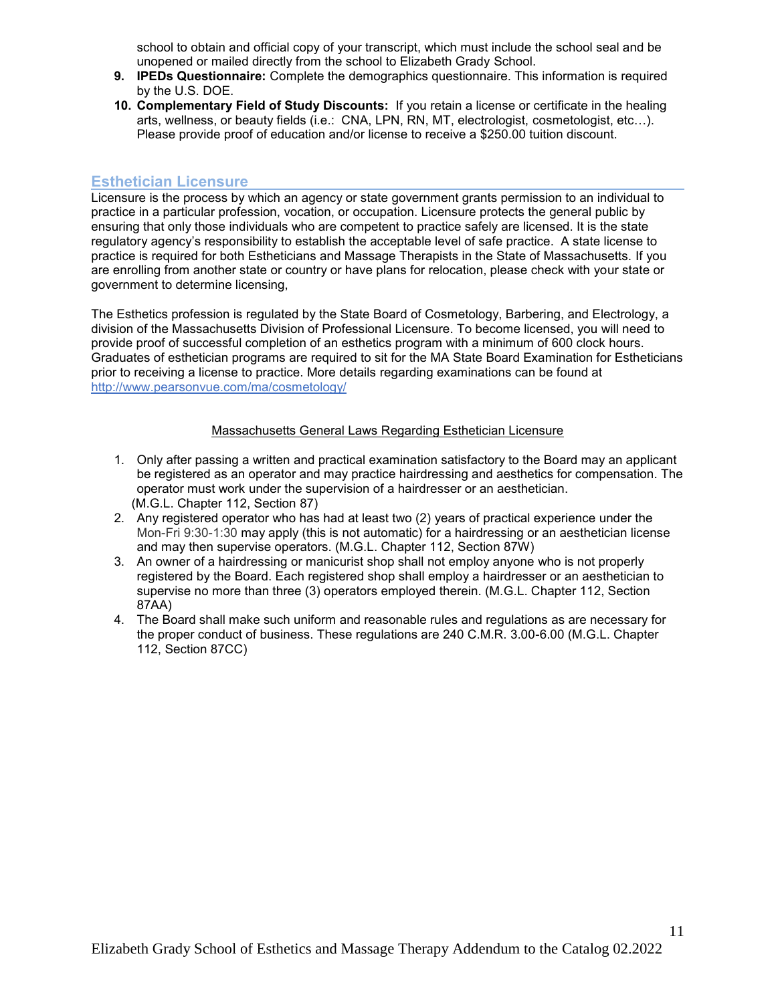school to obtain and official copy of your transcript, which must include the school seal and be unopened or mailed directly from the school to Elizabeth Grady School.

- **9. IPEDs Questionnaire:** Complete the demographics questionnaire. This information is required by the U.S. DOE.
- **10. Complementary Field of Study Discounts:** If you retain a license or certificate in the healing arts, wellness, or beauty fields (i.e.: CNA, LPN, RN, MT, electrologist, cosmetologist, etc…). Please provide proof of education and/or license to receive a \$250.00 tuition discount.

### **Esthetician Licensure**

Licensure is the process by which an agency or state government grants permission to an individual to practice in a particular profession, vocation, or occupation. Licensure protects the general public by ensuring that only those individuals who are competent to practice safely are licensed. It is the state regulatory agency's responsibility to establish the acceptable level of safe practice. A state license to practice is required for both Estheticians and Massage Therapists in the State of Massachusetts. If you are enrolling from another state or country or have plans for relocation, please check with your state or government to determine licensing,

The Esthetics profession is regulated by the State Board of Cosmetology, Barbering, and Electrology, a division of the Massachusetts Division of Professional Licensure. To become licensed, you will need to provide proof of successful completion of an esthetics program with a minimum of 600 clock hours. Graduates of esthetician programs are required to sit for the MA State Board Examination for Estheticians prior to receiving a license to practice. More details regarding examinations can be found at <http://www.pearsonvue.com/ma/cosmetology/>

#### Massachusetts General Laws Regarding Esthetician Licensure

- 1. Only after passing a written and practical examination satisfactory to the Board may an applicant be registered as an operator and may practice hairdressing and aesthetics for compensation. The operator must work under the supervision of a hairdresser or an aesthetician. (M.G.L. Chapter 112, Section 87)
- 2. Any registered operator who has had at least two (2) years of practical experience under the Mon-Fri 9:30-1:30 may apply (this is not automatic) for a hairdressing or an aesthetician license and may then supervise operators. (M.G.L. Chapter 112, Section 87W)
- 3. An owner of a hairdressing or manicurist shop shall not employ anyone who is not properly registered by the Board. Each registered shop shall employ a hairdresser or an aesthetician to supervise no more than three (3) operators employed therein. (M.G.L. Chapter 112, Section 87AA)
- 4. The Board shall make such uniform and reasonable rules and regulations as are necessary for the proper conduct of business. These regulations are 240 C.M.R. 3.00-6.00 (M.G.L. Chapter 112, Section 87CC)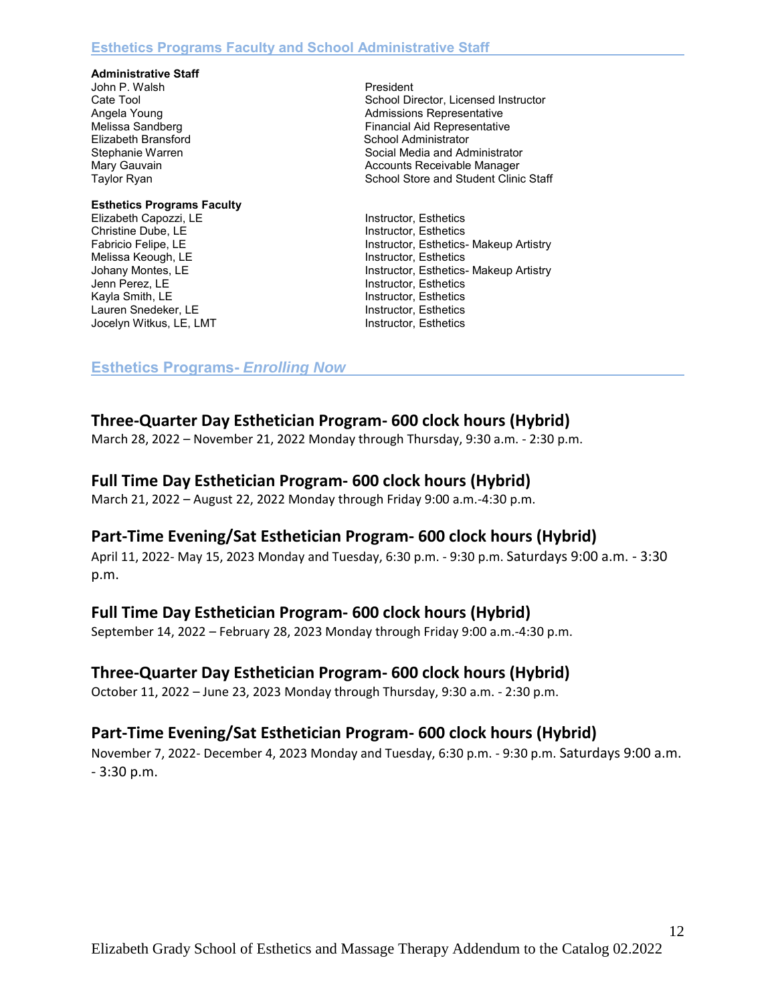#### **Administrative Staff**

John P. Walsh **President** 

# **Esthetics Programs Faculty**  Elizabeth Capozzi, LE Instructor, Esthetics Christine Dube, LE<br>
Fabricio Felipe, LE<br>
Fabricio Felipe, LE<br>
Instructor, Esthetics Melissa Keough, LE<br>
Johany Montes, LE<br>
Instructor, Esthetics Kayla Smith, LE **Instructor, Esthetics** Lauren Snedeker, LE<br>
Instructor, Esthetics Jocelyn Witkus, LE, LMT **Instructor, Esthetics**

Cate Tool School Director, Licensed Instructor Angela Young **Admissions** Representative **Admissions** Representative Melissa Sandberg Financial Aid Representative<br>Elizabeth Bransford Financial Aid Representative School Administrator Stephanie Warren Social Media and Administrator Mary Gauvain **Accounts Receivable Manager** Accounts Receivable Manager Taylor Ryan School Store and Student Clinic Staff

Fabricio Felipe, LE<br>
Melissa Keough, LE<br>
Instructor, Esthetics<br>
Instructor, Esthetics Johany Montes, LE<br>
Jenn Perez, LE<br>
Instructor, Esthetics- Makeup Artistry<br>
Instructor, Esthetics Instructor, Esthetics

### **Esthetics Programs-** *Enrolling Now*

# **Three-Quarter Day Esthetician Program- 600 clock hours (Hybrid)**

March 28, 2022 – November 21, 2022 Monday through Thursday, 9:30 a.m. - 2:30 p.m.

## **Full Time Day Esthetician Program- 600 clock hours (Hybrid)**

March 21, 2022 – August 22, 2022 Monday through Friday 9:00 a.m.-4:30 p.m.

# **Part-Time Evening/Sat Esthetician Program- 600 clock hours (Hybrid)**

April 11, 2022- May 15, 2023 Monday and Tuesday, 6:30 p.m. - 9:30 p.m. Saturdays 9:00 a.m. - 3:30 p.m.

### **Full Time Day Esthetician Program- 600 clock hours (Hybrid)**

September 14, 2022 – February 28, 2023 Monday through Friday 9:00 a.m.-4:30 p.m.

# **Three-Quarter Day Esthetician Program- 600 clock hours (Hybrid)**

October 11, 2022 – June 23, 2023 Monday through Thursday, 9:30 a.m. - 2:30 p.m.

# **Part-Time Evening/Sat Esthetician Program- 600 clock hours (Hybrid)**

November 7, 2022- December 4, 2023 Monday and Tuesday, 6:30 p.m. - 9:30 p.m. Saturdays 9:00 a.m. - 3:30 p.m.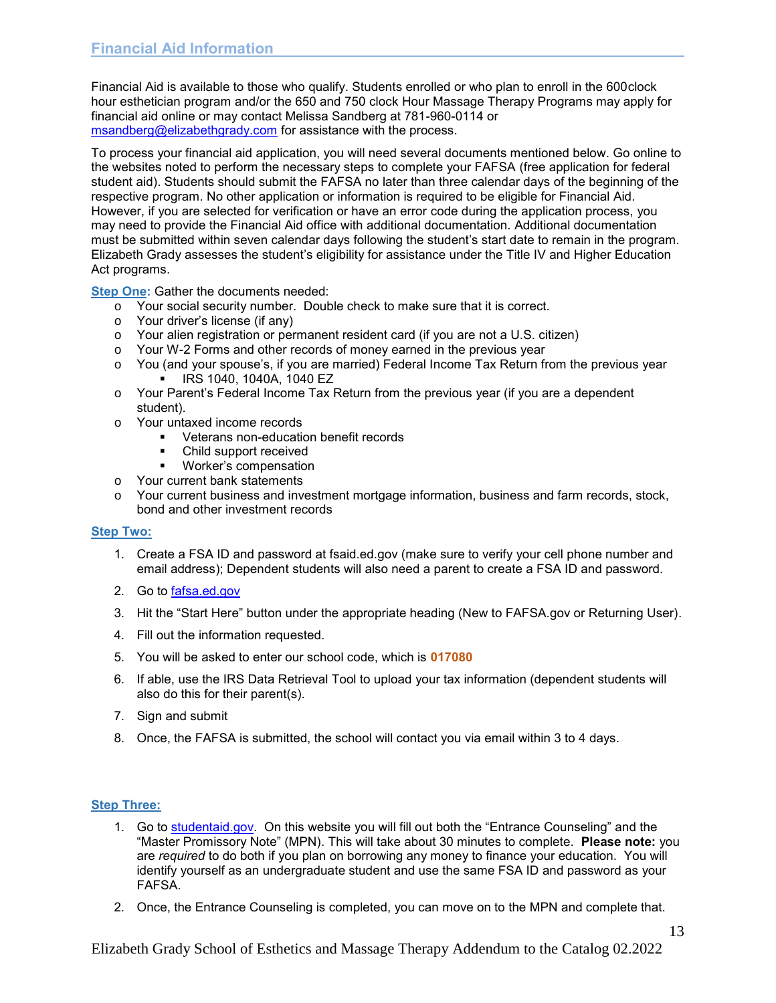Financial Aid is available to those who qualify. Students enrolled or who plan to enroll in the 600clock hour esthetician program and/or the 650 and 750 clock Hour Massage Therapy Programs may apply for financial aid online or may contact Melissa Sandberg at 781-960-0114 or [msandberg@elizabethgrady.com](mailto:msandberg@elizabethgrady.com) for assistance with the process.

To process your financial aid application, you will need several documents mentioned below. Go online to the websites noted to perform the necessary steps to complete your FAFSA (free application for federal student aid). Students should submit the FAFSA no later than three calendar days of the beginning of the respective program. No other application or information is required to be eligible for Financial Aid. However, if you are selected for verification or have an error code during the application process, you may need to provide the Financial Aid office with additional documentation. Additional documentation must be submitted within seven calendar days following the student's start date to remain in the program. Elizabeth Grady assesses the student's eligibility for assistance under the Title IV and Higher Education Act programs.

**Step One:** Gather the documents needed:

- o Your social security number. Double check to make sure that it is correct.
- o Your driver's license (if any)
- o Your alien registration or permanent resident card (if you are not a U.S. citizen)
- o Your W-2 Forms and other records of money earned in the previous year
- o You (and your spouse's, if you are married) Federal Income Tax Return from the previous year IRS 1040, 1040A, 1040 EZ
- o Your Parent's Federal Income Tax Return from the previous year (if you are a dependent student).
- o Your untaxed income records
	- Veterans non-education benefit records
	- Child support received
	- **Worker's compensation**
- o Your current bank statements
- o Your current business and investment mortgage information, business and farm records, stock, bond and other investment records

#### **Step Two:**

- 1. Create a FSA ID and password at fsaid.ed.gov (make sure to verify your cell phone number and email address); Dependent students will also need a parent to create a FSA ID and password.
- 2. Go to [fafsa.ed.gov](http://www.fafsa.ed.gov/)
- 3. Hit the "Start Here" button under the appropriate heading (New to FAFSA.gov or Returning User).
- 4. Fill out the information requested.
- 5. You will be asked to enter our school code, which is **017080**
- 6. If able, use the IRS Data Retrieval Tool to upload your tax information (dependent students will also do this for their parent(s).
- 7. Sign and submit
- 8. Once, the FAFSA is submitted, the school will contact you via email within 3 to 4 days.

#### **Step Three:**

- 1. Go to [studentaid.gov.](http://www.studentloans.gov/) On this website you will fill out both the "Entrance Counseling" and the "Master Promissory Note" (MPN). This will take about 30 minutes to complete. **Please note:** you are *required* to do both if you plan on borrowing any money to finance your education. You will identify yourself as an undergraduate student and use the same FSA ID and password as your FAFSA.
- 2. Once, the Entrance Counseling is completed, you can move on to the MPN and complete that.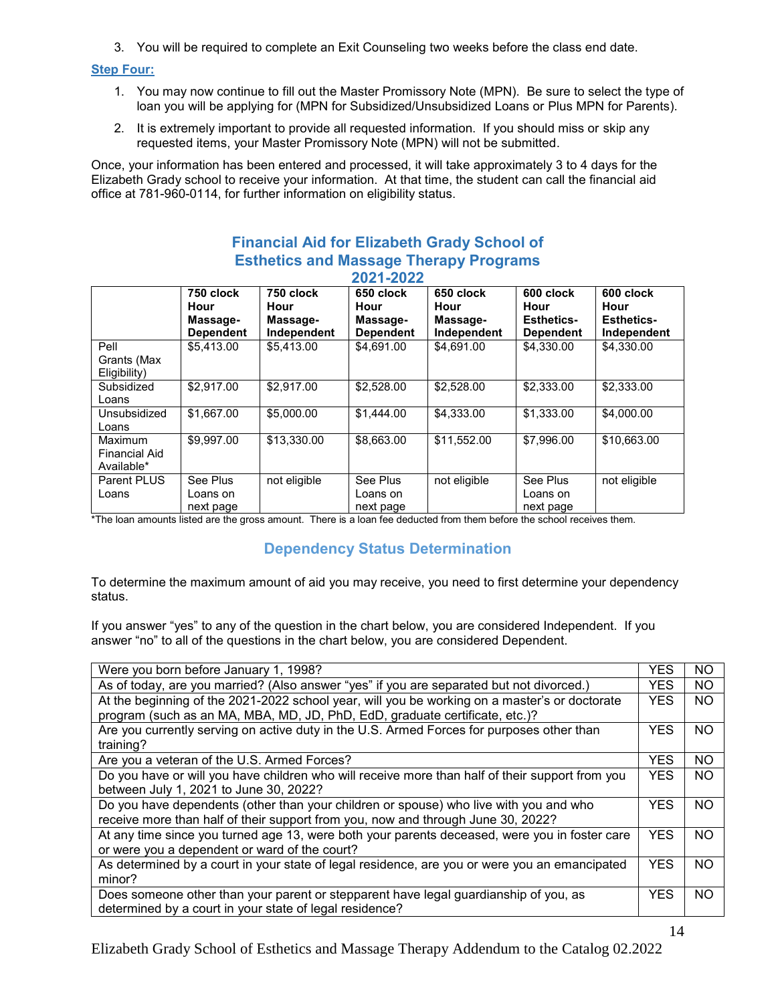3. You will be required to complete an Exit Counseling two weeks before the class end date.

#### **Step Four:**

- 1. You may now continue to fill out the Master Promissory Note (MPN). Be sure to select the type of loan you will be applying for (MPN for Subsidized/Unsubsidized Loans or Plus MPN for Parents).
- 2. It is extremely important to provide all requested information. If you should miss or skip any requested items, your Master Promissory Note (MPN) will not be submitted.

Once, your information has been entered and processed, it will take approximately 3 to 4 days for the Elizabeth Grady school to receive your information. At that time, the student can call the financial aid office at 781-960-0114, for further information on eligibility status.

#### **Financial Aid for Elizabeth Grady School of Esthetics and Massage Therapy Programs 2021-2022**

| --------                                      |                                                   |                                              |                                                   |                                              |                                                            |                                                       |
|-----------------------------------------------|---------------------------------------------------|----------------------------------------------|---------------------------------------------------|----------------------------------------------|------------------------------------------------------------|-------------------------------------------------------|
|                                               | 750 clock<br>Hour<br>Massage-<br><b>Dependent</b> | 750 clock<br>Hour<br>Massage-<br>Independent | 650 clock<br>Hour<br>Massage-<br><b>Dependent</b> | 650 clock<br>Hour<br>Massage-<br>Independent | 600 clock<br>Hour<br><b>Esthetics-</b><br><b>Dependent</b> | 600 clock<br>Hour<br><b>Esthetics-</b><br>Independent |
| Pell<br>Grants (Max<br>Eligibility)           | \$5,413.00                                        | \$5.413.00                                   | \$4,691.00                                        | \$4,691.00                                   | \$4,330.00                                                 | \$4,330.00                                            |
| Subsidized<br>Loans                           | \$2,917.00                                        | \$2,917.00                                   | \$2,528.00                                        | \$2,528.00                                   | \$2,333.00                                                 | \$2,333.00                                            |
| Unsubsidized<br>Loans                         | \$1,667.00                                        | \$5,000.00                                   | \$1,444.00                                        | \$4,333.00                                   | \$1,333.00                                                 | \$4,000.00                                            |
| Maximum<br><b>Financial Aid</b><br>Available* | \$9,997.00                                        | \$13,330.00                                  | \$8,663.00                                        | \$11,552.00                                  | \$7,996.00                                                 | \$10,663.00                                           |
| Parent PLUS<br>Loans                          | See Plus<br>Loans on<br>next page                 | not eligible                                 | See Plus<br>Loans on<br>next page                 | not eligible                                 | See Plus<br>Loans on<br>next page                          | not eligible                                          |

\*The loan amounts listed are the gross amount. There is a loan fee deducted from them before the school receives them.

# **Dependency Status Determination**

To determine the maximum amount of aid you may receive, you need to first determine your dependency status.

If you answer "yes" to any of the question in the chart below, you are considered Independent. If you answer "no" to all of the questions in the chart below, you are considered Dependent.

| Were you born before January 1, 1998?                                                                                                                                        | <b>YES</b> | <b>NO</b> |
|------------------------------------------------------------------------------------------------------------------------------------------------------------------------------|------------|-----------|
| As of today, are you married? (Also answer "yes" if you are separated but not divorced.)                                                                                     | <b>YES</b> | <b>NO</b> |
| At the beginning of the 2021-2022 school year, will you be working on a master's or doctorate<br>program (such as an MA, MBA, MD, JD, PhD, EdD, graduate certificate, etc.)? | <b>YES</b> | NO.       |
| Are you currently serving on active duty in the U.S. Armed Forces for purposes other than<br>training?                                                                       | <b>YES</b> | NO.       |
| Are you a veteran of the U.S. Armed Forces?                                                                                                                                  | <b>YES</b> | <b>NO</b> |
| Do you have or will you have children who will receive more than half of their support from you<br>between July 1, 2021 to June 30, 2022?                                    | <b>YES</b> | <b>NO</b> |
| Do you have dependents (other than your children or spouse) who live with you and who<br>receive more than half of their support from you, now and through June 30, 2022?    | <b>YES</b> | <b>NO</b> |
| At any time since you turned age 13, were both your parents deceased, were you in foster care<br>or were you a dependent or ward of the court?                               | <b>YES</b> | <b>NO</b> |
| As determined by a court in your state of legal residence, are you or were you an emancipated<br>minor?                                                                      | <b>YES</b> | <b>NO</b> |
| Does someone other than your parent or stepparent have legal guardianship of you, as<br>determined by a court in your state of legal residence?                              | <b>YES</b> | <b>NO</b> |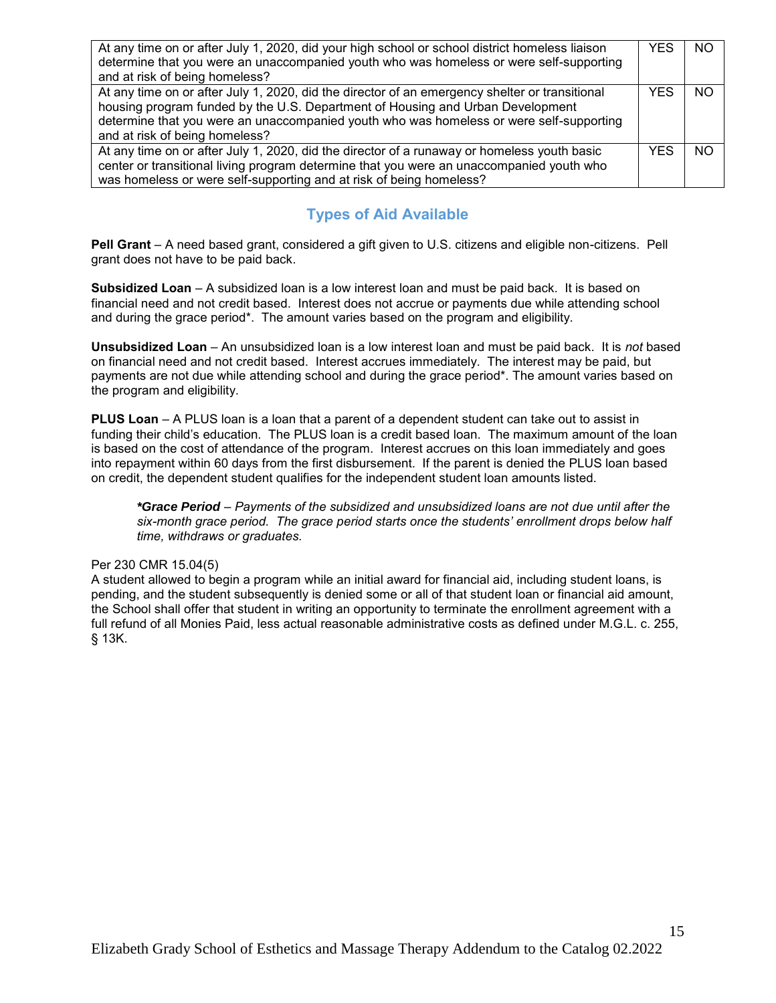| At any time on or after July 1, 2020, did your high school or school district homeless liaison<br>determine that you were an unaccompanied youth who was homeless or were self-supporting<br>and at risk of being homeless?                                                                                   | <b>YES</b> | NO. |
|---------------------------------------------------------------------------------------------------------------------------------------------------------------------------------------------------------------------------------------------------------------------------------------------------------------|------------|-----|
| At any time on or after July 1, 2020, did the director of an emergency shelter or transitional<br>housing program funded by the U.S. Department of Housing and Urban Development<br>determine that you were an unaccompanied youth who was homeless or were self-supporting<br>and at risk of being homeless? | <b>YES</b> | NO. |
| At any time on or after July 1, 2020, did the director of a runaway or homeless youth basic<br>center or transitional living program determine that you were an unaccompanied youth who<br>was homeless or were self-supporting and at risk of being homeless?                                                | <b>YES</b> | NO. |

# **Types of Aid Available**

**Pell Grant** – A need based grant, considered a gift given to U.S. citizens and eligible non-citizens. Pell grant does not have to be paid back.

**Subsidized Loan** – A subsidized loan is a low interest loan and must be paid back. It is based on financial need and not credit based. Interest does not accrue or payments due while attending school and during the grace period\*. The amount varies based on the program and eligibility.

**Unsubsidized Loan** – An unsubsidized loan is a low interest loan and must be paid back. It is *not* based on financial need and not credit based. Interest accrues immediately. The interest may be paid, but payments are not due while attending school and during the grace period\*. The amount varies based on the program and eligibility.

**PLUS Loan** – A PLUS loan is a loan that a parent of a dependent student can take out to assist in funding their child's education. The PLUS loan is a credit based loan. The maximum amount of the loan is based on the cost of attendance of the program. Interest accrues on this loan immediately and goes into repayment within 60 days from the first disbursement. If the parent is denied the PLUS loan based on credit, the dependent student qualifies for the independent student loan amounts listed.

*\*Grace Period – Payments of the subsidized and unsubsidized loans are not due until after the six-month grace period. The grace period starts once the students' enrollment drops below half time, withdraws or graduates.* 

#### Per 230 CMR 15.04(5)

A student allowed to begin a program while an initial award for financial aid, including student loans, is pending, and the student subsequently is denied some or all of that student loan or financial aid amount, the School shall offer that student in writing an opportunity to terminate the enrollment agreement with a full refund of all Monies Paid, less actual reasonable administrative costs as defined under M.G.L. c. 255, § 13K.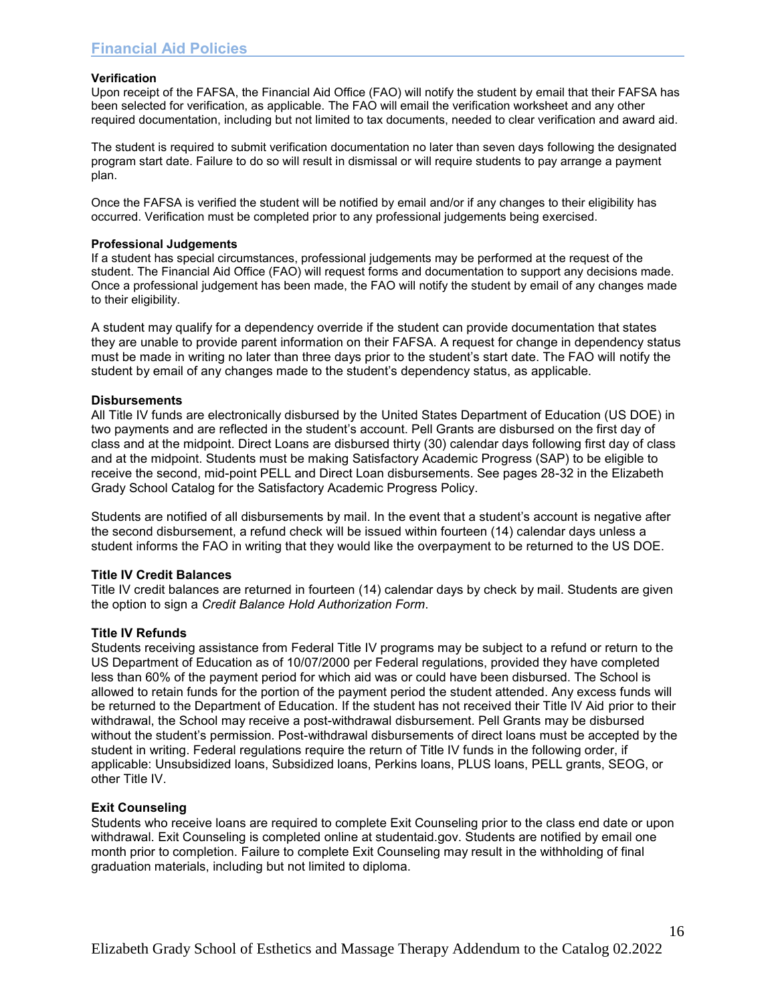#### **Verification**

Upon receipt of the FAFSA, the Financial Aid Office (FAO) will notify the student by email that their FAFSA has been selected for verification, as applicable. The FAO will email the verification worksheet and any other required documentation, including but not limited to tax documents, needed to clear verification and award aid.

The student is required to submit verification documentation no later than seven days following the designated program start date. Failure to do so will result in dismissal or will require students to pay arrange a payment plan.

Once the FAFSA is verified the student will be notified by email and/or if any changes to their eligibility has occurred. Verification must be completed prior to any professional judgements being exercised.

#### **Professional Judgements**

If a student has special circumstances, professional judgements may be performed at the request of the student. The Financial Aid Office (FAO) will request forms and documentation to support any decisions made. Once a professional judgement has been made, the FAO will notify the student by email of any changes made to their eligibility.

A student may qualify for a dependency override if the student can provide documentation that states they are unable to provide parent information on their FAFSA. A request for change in dependency status must be made in writing no later than three days prior to the student's start date. The FAO will notify the student by email of any changes made to the student's dependency status, as applicable.

#### **Disbursements**

All Title IV funds are electronically disbursed by the United States Department of Education (US DOE) in two payments and are reflected in the student's account. Pell Grants are disbursed on the first day of class and at the midpoint. Direct Loans are disbursed thirty (30) calendar days following first day of class and at the midpoint. Students must be making Satisfactory Academic Progress (SAP) to be eligible to receive the second, mid-point PELL and Direct Loan disbursements. See pages 28-32 in the Elizabeth Grady School Catalog for the Satisfactory Academic Progress Policy.

Students are notified of all disbursements by mail. In the event that a student's account is negative after the second disbursement, a refund check will be issued within fourteen (14) calendar days unless a student informs the FAO in writing that they would like the overpayment to be returned to the US DOE.

#### **Title IV Credit Balances**

Title IV credit balances are returned in fourteen (14) calendar days by check by mail. Students are given the option to sign a *Credit Balance Hold Authorization Form*.

#### **Title IV Refunds**

Students receiving assistance from Federal Title IV programs may be subject to a refund or return to the US Department of Education as of 10/07/2000 per Federal regulations, provided they have completed less than 60% of the payment period for which aid was or could have been disbursed. The School is allowed to retain funds for the portion of the payment period the student attended. Any excess funds will be returned to the Department of Education. If the student has not received their Title IV Aid prior to their withdrawal, the School may receive a post-withdrawal disbursement. Pell Grants may be disbursed without the student's permission. Post-withdrawal disbursements of direct loans must be accepted by the student in writing. Federal regulations require the return of Title IV funds in the following order, if applicable: Unsubsidized loans, Subsidized loans, Perkins loans, PLUS loans, PELL grants, SEOG, or other Title IV.

#### **Exit Counseling**

Students who receive loans are required to complete Exit Counseling prior to the class end date or upon withdrawal. Exit Counseling is completed online at studentaid.gov. Students are notified by email one month prior to completion. Failure to complete Exit Counseling may result in the withholding of final graduation materials, including but not limited to diploma.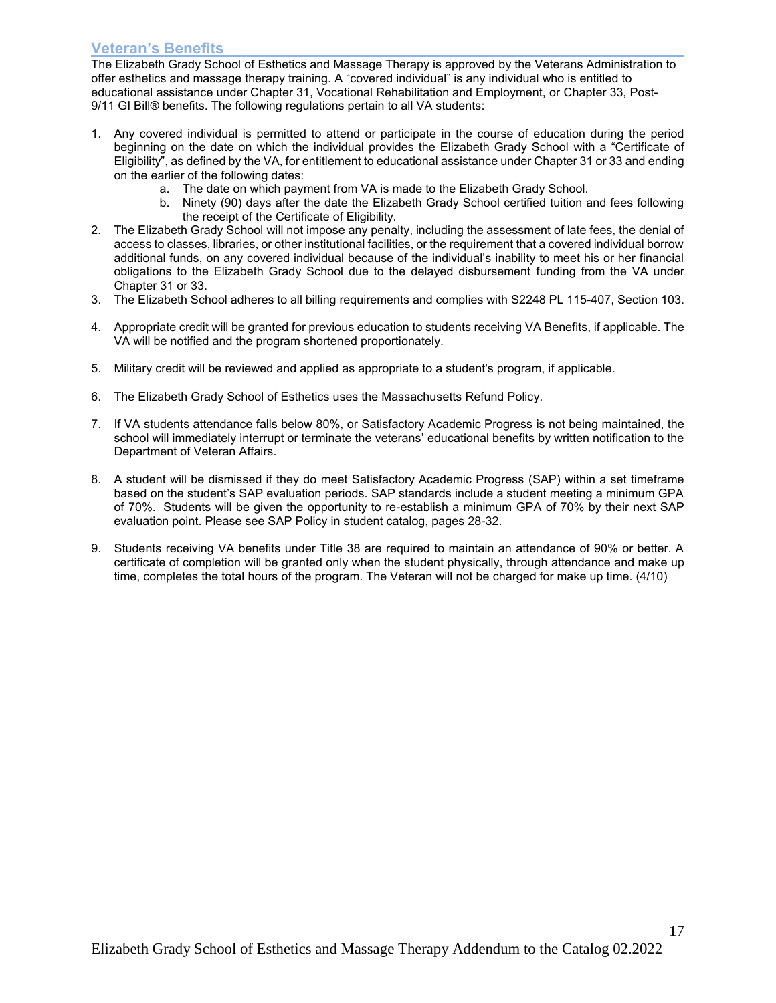#### **Veteran's Benefits**

The Elizabeth Grady School of Esthetics and Massage Therapy is approved by the Veterans Administration to offer esthetics and massage therapy training. A "covered individual" is any individual who is entitled to educational assistance under Chapter 31, Vocational Rehabilitation and Employment, or Chapter 33, Post-9/11 GI Bill® benefits. The following regulations pertain to all VA students:

- 1. Any covered individual is permitted to attend or participate in the course of education during the period beginning on the date on which the individual provides the Elizabeth Grady School with a "Certificate of Eligibility", as defined by the VA, for entitlement to educational assistance under Chapter 31 or 33 and ending on the earlier of the following dates:
	- a. The date on which payment from VA is made to the Elizabeth Grady School.
	- b. Ninety (90) days after the date the Elizabeth Grady School certified tuition and fees following the receipt of the Certificate of Eligibility.
- 2. The Elizabeth Grady School will not impose any penalty, including the assessment of late fees, the denial of access to classes, libraries, or other institutional facilities, or the requirement that a covered individual borrow additional funds, on any covered individual because of the individual's inability to meet his or her financial obligations to the Elizabeth Grady School due to the delayed disbursement funding from the VA under Chapter 31 or 33.
- 3. The Elizabeth School adheres to all billing requirements and complies with S2248 PL 115-407, Section 103.
- 4. Appropriate credit will be granted for previous education to students receiving VA Benefits, if applicable. The VA will be notified and the program shortened proportionately.
- 5. Military credit will be reviewed and applied as appropriate to a student's program, if applicable.
- 6. The Elizabeth Grady School of Esthetics uses the Massachusetts Refund Policy.
- 7. If VA students attendance falls below 80%, or Satisfactory Academic Progress is not being maintained, the school will immediately interrupt or terminate the veterans' educational benefits by written notification to the Department of Veteran Affairs.
- 8. A student will be dismissed if they do meet Satisfactory Academic Progress (SAP) within a set timeframe based on the student's SAP evaluation periods. SAP standards include a student meeting a minimum GPA of 70%. Students will be given the opportunity to re-establish a minimum GPA of 70% by their next SAP evaluation point. Please see SAP Policy in student catalog, pages 28-32.
- 9. Students receiving VA benefits under Title 38 are required to maintain an attendance of 90% or better. A certificate of completion will be granted only when the student physically, through attendance and make up time, completes the total hours of the program. The Veteran will not be charged for make up time. (4/10)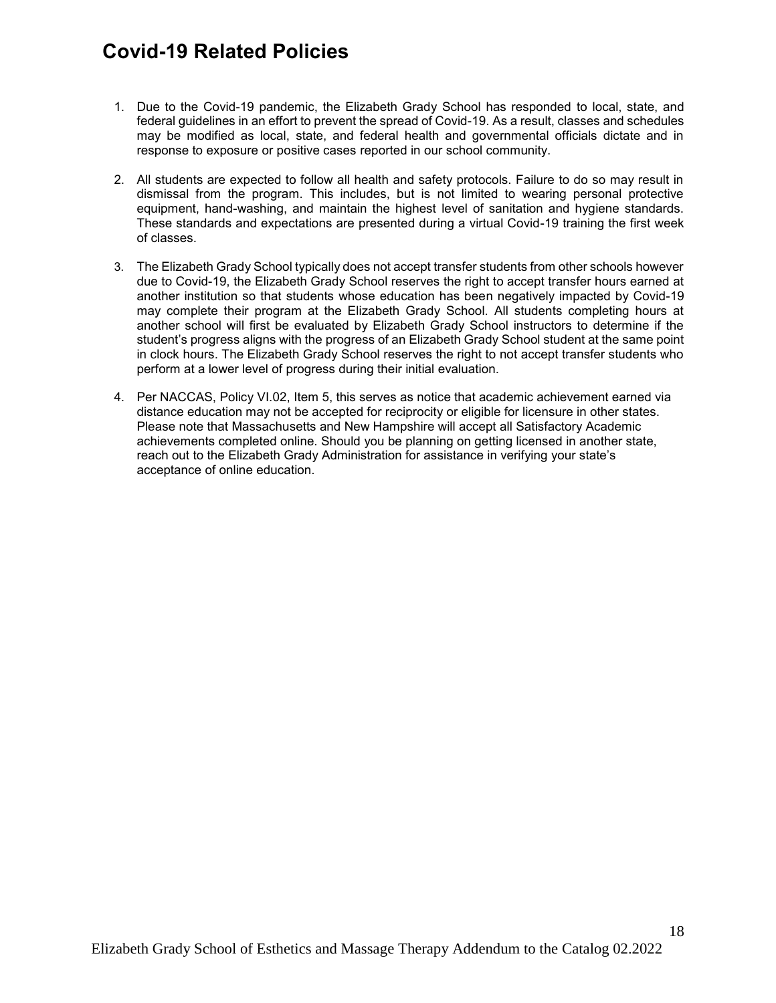# **Covid-19 Related Policies**

- 1. Due to the Covid-19 pandemic, the Elizabeth Grady School has responded to local, state, and federal guidelines in an effort to prevent the spread of Covid-19. As a result, classes and schedules may be modified as local, state, and federal health and governmental officials dictate and in response to exposure or positive cases reported in our school community.
- 2. All students are expected to follow all health and safety protocols. Failure to do so may result in dismissal from the program. This includes, but is not limited to wearing personal protective equipment, hand-washing, and maintain the highest level of sanitation and hygiene standards. These standards and expectations are presented during a virtual Covid-19 training the first week of classes.
- 3. The Elizabeth Grady School typically does not accept transfer students from other schools however due to Covid-19, the Elizabeth Grady School reserves the right to accept transfer hours earned at another institution so that students whose education has been negatively impacted by Covid-19 may complete their program at the Elizabeth Grady School. All students completing hours at another school will first be evaluated by Elizabeth Grady School instructors to determine if the student's progress aligns with the progress of an Elizabeth Grady School student at the same point in clock hours. The Elizabeth Grady School reserves the right to not accept transfer students who perform at a lower level of progress during their initial evaluation.
- 4. Per NACCAS, Policy VI.02, Item 5, this serves as notice that academic achievement earned via distance education may not be accepted for reciprocity or eligible for licensure in other states. Please note that Massachusetts and New Hampshire will accept all Satisfactory Academic achievements completed online. Should you be planning on getting licensed in another state, reach out to the Elizabeth Grady Administration for assistance in verifying your state's acceptance of online education.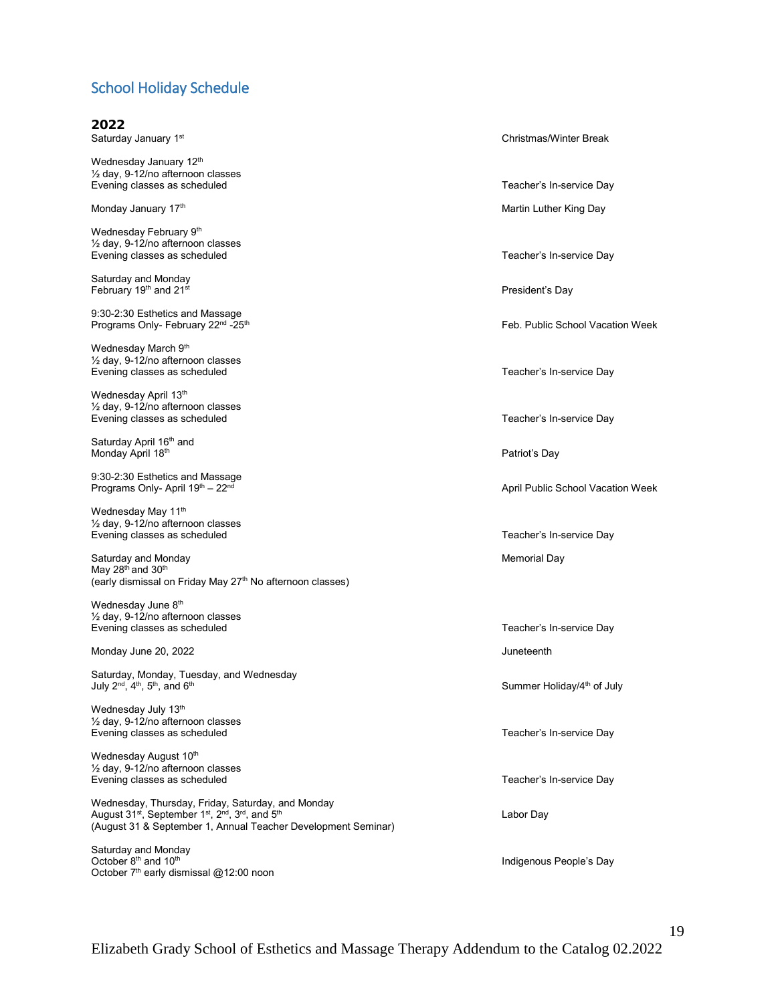# School Holiday Schedule

| 2022                                                                                                                                                                                                                                |                                        |
|-------------------------------------------------------------------------------------------------------------------------------------------------------------------------------------------------------------------------------------|----------------------------------------|
| Saturday January 1st                                                                                                                                                                                                                | <b>Christmas/Winter Break</b>          |
| Wednesday January 12th<br>1/2 day, 9-12/no afternoon classes<br>Evening classes as scheduled                                                                                                                                        | Teacher's In-service Day               |
| Monday January 17th                                                                                                                                                                                                                 | Martin Luther King Day                 |
| Wednesday February 9th<br>$\frac{1}{2}$ day, 9-12/no afternoon classes<br>Evening classes as scheduled                                                                                                                              | Teacher's In-service Day               |
| Saturday and Monday<br>February 19th and 21st                                                                                                                                                                                       | President's Day                        |
| 9:30-2:30 Esthetics and Massage<br>Programs Only- February 22 <sup>nd</sup> -25 <sup>th</sup>                                                                                                                                       | Feb. Public School Vacation Week       |
| Wednesday March 9th<br>$\frac{1}{2}$ day, 9-12/no afternoon classes<br>Evening classes as scheduled                                                                                                                                 | Teacher's In-service Day               |
| Wednesday April 13th<br>$\frac{1}{2}$ day, 9-12/no afternoon classes<br>Evening classes as scheduled                                                                                                                                | Teacher's In-service Day               |
| Saturday April 16 <sup>th</sup> and<br>Monday April 18th                                                                                                                                                                            | Patriot's Day                          |
| 9:30-2:30 Esthetics and Massage<br>Programs Only- April 19th - 22nd                                                                                                                                                                 | April Public School Vacation Week      |
| Wednesday May 11th<br>1/2 day, 9-12/no afternoon classes<br>Evening classes as scheduled                                                                                                                                            | Teacher's In-service Day               |
| Saturday and Monday<br>May 28 <sup>th</sup> and 30 <sup>th</sup><br>(early dismissal on Friday May 27 <sup>th</sup> No afternoon classes)                                                                                           | Memorial Day                           |
| Wednesday June 8th<br>$\frac{1}{2}$ day, 9-12/no afternoon classes                                                                                                                                                                  |                                        |
| Evening classes as scheduled                                                                                                                                                                                                        | Teacher's In-service Day               |
| Monday June 20, 2022                                                                                                                                                                                                                | Juneteenth                             |
| Saturday, Monday, Tuesday, and Wednesday<br>July 2 <sup>nd</sup> , 4 <sup>th</sup> , 5 <sup>th</sup> , and 6 <sup>th</sup>                                                                                                          | Summer Holiday/4 <sup>th</sup> of July |
| Wednesday July 13th<br>$\frac{1}{2}$ day, 9-12/no afternoon classes<br>Evening classes as scheduled                                                                                                                                 | Teacher's In-service Day               |
| Wednesday August 10th<br>1/2 day, 9-12/no afternoon classes<br>Evening classes as scheduled                                                                                                                                         | Teacher's In-service Day               |
| Wednesday, Thursday, Friday, Saturday, and Monday<br>August 31 <sup>st</sup> , September 1 <sup>st</sup> , 2 <sup>nd</sup> , 3 <sup>rd</sup> , and 5 <sup>th</sup><br>(August 31 & September 1, Annual Teacher Development Seminar) | Labor Day                              |

Saturday and Monday October  $8^{\text{th}}$  and 10 $^{\text{th}}$ October 7<sup>th</sup> early dismissal @12:00 noon

Indigenous People's Day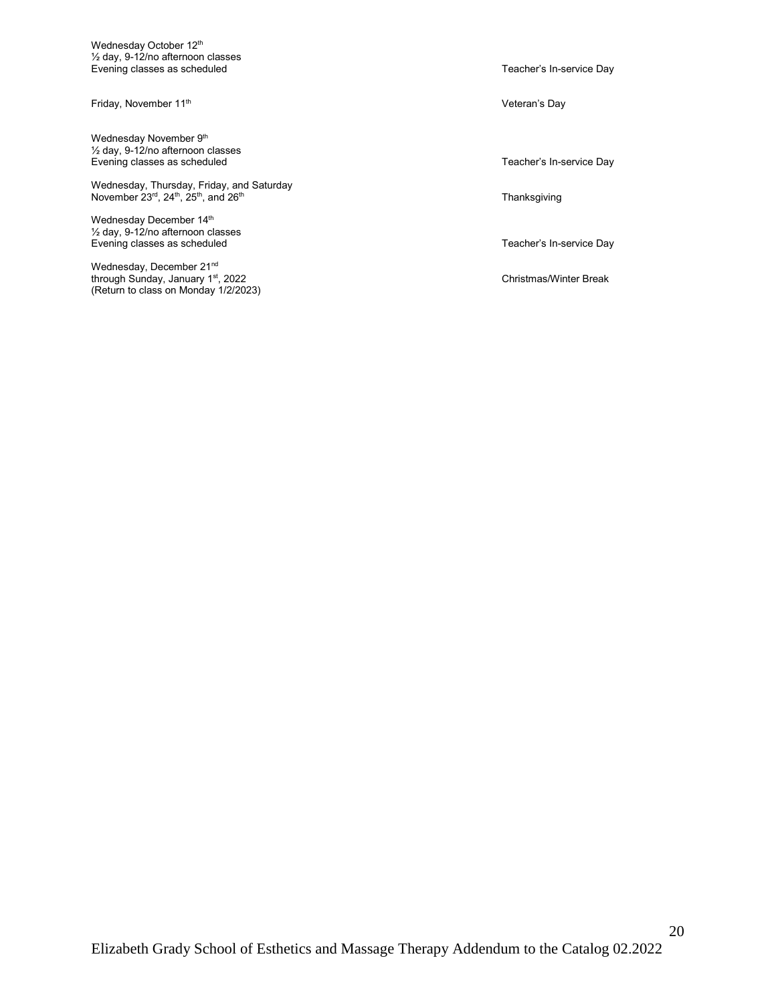Wednesday October 12<sup>th</sup>  $\frac{1}{2}$  day, 9-12/no afternoon classes Evening classes as scheduled **Evening classes** as scheduled

Friday, November 11<sup>th</sup> Veteran's Day

Wednesday November 9<sup>th</sup>  $\frac{1}{2}$  day, 9-12/no afternoon classes Evening classes as scheduled Teacher's In-service Day

Wednesday, Thursday, Friday, and Saturday November 23 $^{\mathsf{rd}},$  24th, 25th, and 26th  $\blacksquare$ 

Wednesday December 14<sup>th</sup> ½ day, 9-12/no afternoon classes Evening classes as scheduled Teacher's In-service Day

Wednesday, December 21<sup>nd</sup> through Sunday, January 1<sup>st</sup>, 2022 Christmas/Winter Break (Return to class on Monday 1/2/2023)